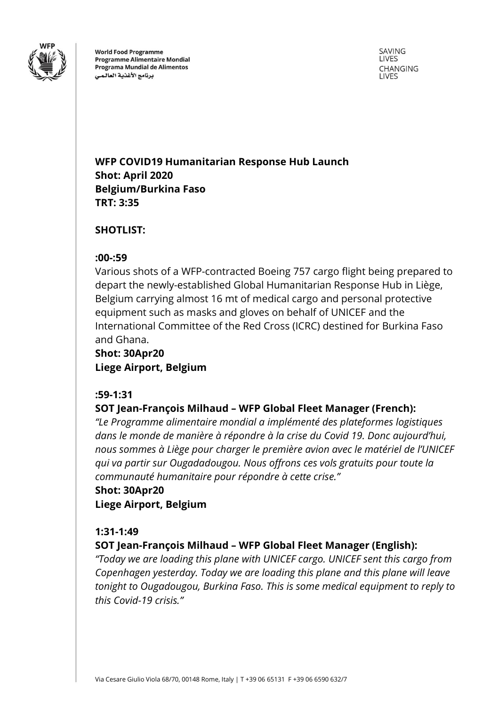

**World Food Programme Programme Alimentaire Mondial** Programa Mundial de Alimentos برنامج الأغذية العالمى

SAVING **LIVES** CHANGING **LIVES** 

## **WFP COVID19 Humanitarian Response Hub Launch Shot: April 2020 Belgium/Burkina Faso TRT: 3:35**

### **SHOTLIST:**

#### **:00-:59**

Various shots of a WFP-contracted Boeing 757 cargo flight being prepared to depart the newly-established Global Humanitarian Response Hub in Liège, Belgium carrying almost 16 mt of medical cargo and personal protective equipment such as masks and gloves on behalf of UNICEF and the International Committee of the Red Cross (ICRC) destined for Burkina Faso and Ghana.

## **Shot: 30Apr20 Liege Airport, Belgium**

#### **:59-1:31**

## **SOT Jean-François Milhaud – WFP Global Fleet Manager (French):**

*"Le Programme alimentaire mondial a implémenté des plateformes logistiques dans le monde de manière à répondre à la crise du Covid 19. Donc aujourd'hui, nous sommes à Liège pour charger le première avion avec le matériel de l'UNICEF qui va partir sur Ougadadougou. Nous offrons ces vols gratuits pour toute la communauté humanitaire pour répondre à cette crise."*

## **Shot: 30Apr20 Liege Airport, Belgium**

#### **1:31-1:49**

## **SOT Jean-François Milhaud – WFP Global Fleet Manager (English):**

*"Today we are loading this plane with UNICEF cargo. UNICEF sent this cargo from Copenhagen yesterday. Today we are loading this plane and this plane will leave tonight to Ougadougou, Burkina Faso. This is some medical equipment to reply to this Covid-19 crisis."*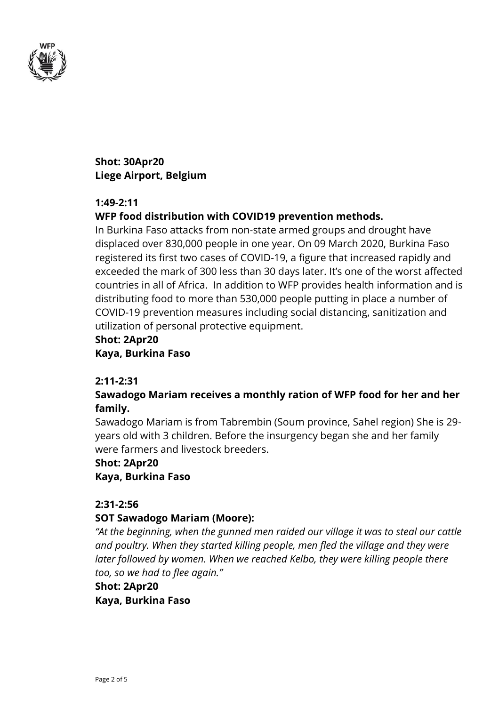

## **Shot: 30Apr20 Liege Airport, Belgium**

### **1:49-2:11**

## **WFP food distribution with COVID19 prevention methods.**

In Burkina Faso attacks from non-state armed groups and drought have displaced over 830,000 people in one year. On 09 March 2020, Burkina Faso registered its first two cases of COVID-19, a figure that increased rapidly and exceeded the mark of 300 less than 30 days later. It's one of the worst affected countries in all of Africa. In addition to WFP provides health information and is distributing food to more than 530,000 people putting in place a number of COVID-19 prevention measures including social distancing, sanitization and utilization of personal protective equipment.

# **Shot: 2Apr20**

**Kaya, Burkina Faso**

## **2:11-2:31**

## **Sawadogo Mariam receives a monthly ration of WFP food for her and her family.**

Sawadogo Mariam is from Tabrembin (Soum province, Sahel region) She is 29 years old with 3 children. Before the insurgency began she and her family were farmers and livestock breeders.

#### **Shot: 2Apr20**

**Kaya, Burkina Faso**

#### **2:31-2:56**

## **SOT Sawadogo Mariam (Moore):**

*"At the beginning, when the gunned men raided our village it was to steal our cattle and poultry. When they started killing people, men fled the village and they were*  later followed by women. When we reached Kelbo, they were killing people there *too, so we had to flee again."*

# **Shot: 2Apr20**

**Kaya, Burkina Faso**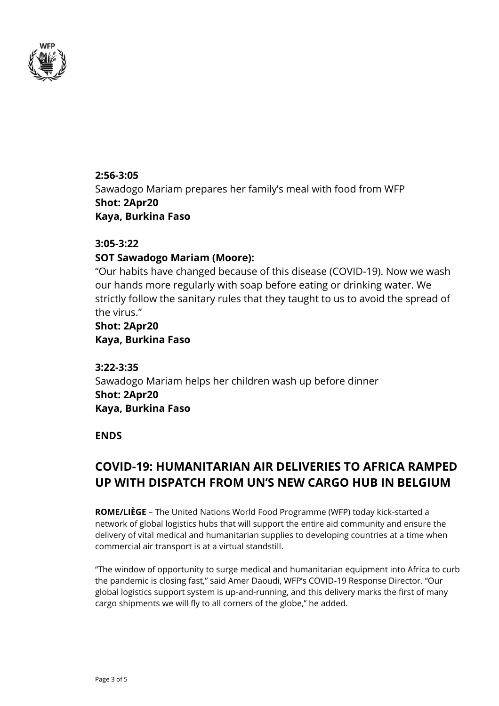

**2:56-3:05** Sawadogo Mariam prepares her family's meal with food from WFP **Shot: 2Apr20 Kaya, Burkina Faso**

#### **3:05-3:22**

#### **SOT Sawadogo Mariam (Moore):**

"Our habits have changed because of this disease (COVID-19). Now we wash our hands more regularly with soap before eating or drinking water. We strictly follow the sanitary rules that they taught to us to avoid the spread of the virus."

### **Shot: 2Apr20 Kaya, Burkina Faso**

**3:22-3:35** Sawadogo Mariam helps her children wash up before dinner **Shot: 2Apr20 Kaya, Burkina Faso**

#### **ENDS**

## **COVID-19: HUMANITARIAN AIR DELIVERIES TO AFRICA RAMPED UP WITH DISPATCH FROM UN'S NEW CARGO HUB IN BELGIUM**

**ROME/LIÈGE** – The United Nations World Food Programme (WFP) today kick-started a network of global logistics hubs that will support the entire aid community and ensure the delivery of vital medical and humanitarian supplies to developing countries at a time when commercial air transport is at a virtual standstill.

"The window of opportunity to surge medical and humanitarian equipment into Africa to curb the pandemic is closing fast," said Amer Daoudi, WFP's COVID-19 Response Director. "Our global logistics support system is up-and-running, and this delivery marks the first of many cargo shipments we will fly to all corners of the globe," he added.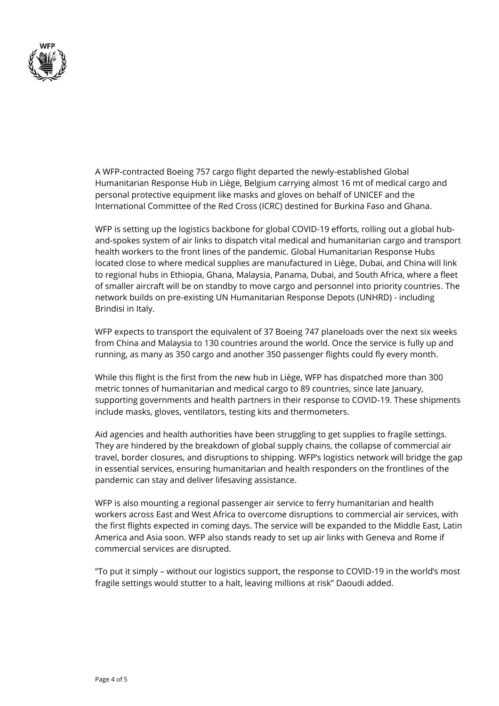

A WFP-contracted Boeing 757 cargo flight departed the newly-established Global Humanitarian Response Hub in Liège, Belgium carrying almost 16 mt of medical cargo and personal protective equipment like masks and gloves on behalf of UNICEF and the International Committee of the Red Cross (ICRC) destined for Burkina Faso and Ghana.

WFP is setting up the logistics backbone for global COVID-19 efforts, rolling out a global huband-spokes system of air links to dispatch vital medical and humanitarian cargo and transport health workers to the front lines of the pandemic. Global Humanitarian Response Hubs located close to where medical supplies are manufactured in Liège, Dubai, and China will link to regional hubs in Ethiopia, Ghana, Malaysia, Panama, Dubai, and South Africa, where a fleet of smaller aircraft will be on standby to move cargo and personnel into priority countries. The network builds on pre-existing UN Humanitarian Response Depots (UNHRD) - including Brindisi in Italy.

WFP expects to transport the equivalent of 37 Boeing 747 planeloads over the next six weeks from China and Malaysia to 130 countries around the world. Once the service is fully up and running, as many as 350 cargo and another 350 passenger flights could fly every month.

While this flight is the first from the new hub in Liège, WFP has dispatched more than 300 metric tonnes of humanitarian and medical cargo to 89 countries, since late January, supporting governments and health partners in their response to COVID-19. These shipments include masks, gloves, ventilators, testing kits and thermometers.

Aid agencies and health authorities have been struggling to get supplies to fragile settings. They are hindered by the breakdown of global supply chains, the collapse of commercial air travel, border closures, and disruptions to shipping. WFP's logistics network will bridge the gap in essential services, ensuring humanitarian and health responders on the frontlines of the pandemic can stay and deliver lifesaving assistance.

WFP is also mounting a regional passenger air service to ferry humanitarian and health workers across East and West Africa to overcome disruptions to commercial air services, with the first flights expected in coming days. The service will be expanded to the Middle East, Latin America and Asia soon. WFP also stands ready to set up air links with Geneva and Rome if commercial services are disrupted.

"To put it simply – without our logistics support, the response to COVID-19 in the world's most fragile settings would stutter to a halt, leaving millions at risk" Daoudi added.